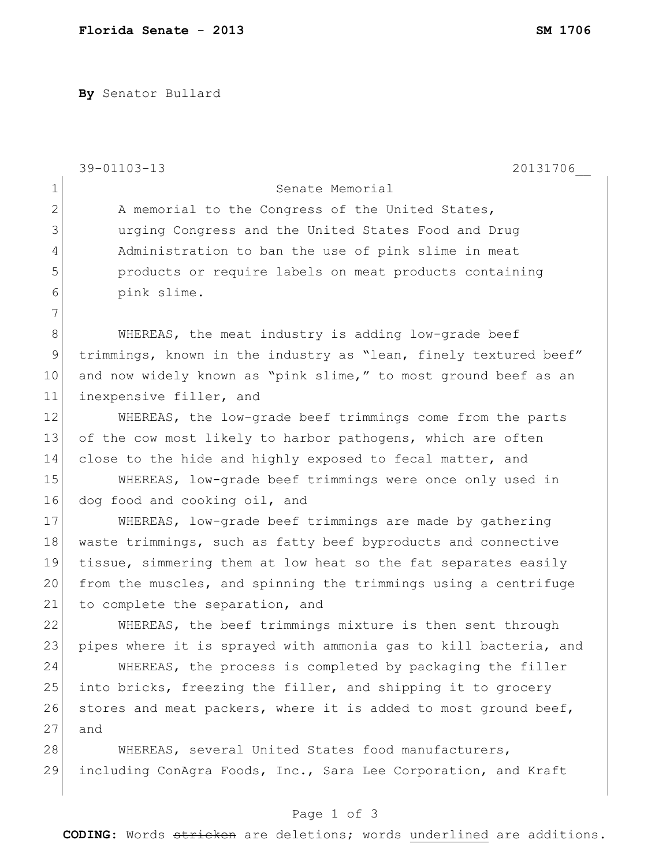**By** Senator Bullard

|                | 39-01103-13<br>20131706                                          |
|----------------|------------------------------------------------------------------|
| $\mathbf 1$    | Senate Memorial                                                  |
| $\overline{2}$ | A memorial to the Congress of the United States,                 |
| 3              | urging Congress and the United States Food and Drug              |
| 4              | Administration to ban the use of pink slime in meat              |
| 5              | products or require labels on meat products containing           |
| 6              | pink slime.                                                      |
| 7              |                                                                  |
| $\,8\,$        | WHEREAS, the meat industry is adding low-grade beef              |
| $\mathsf 9$    | trimmings, known in the industry as "lean, finely textured beef" |
| 10             | and now widely known as "pink slime," to most ground beef as an  |
| 11             | inexpensive filler, and                                          |
| 12             | WHEREAS, the low-grade beef trimmings come from the parts        |
| 13             | of the cow most likely to harbor pathogens, which are often      |
| 14             | close to the hide and highly exposed to fecal matter, and        |
| 15             | WHEREAS, low-grade beef trimmings were once only used in         |
| 16             | dog food and cooking oil, and                                    |
| 17             | WHEREAS, low-grade beef trimmings are made by gathering          |
| 18             | waste trimmings, such as fatty beef byproducts and connective    |
| 19             | tissue, simmering them at low heat so the fat separates easily   |
| 20             | from the muscles, and spinning the trimmings using a centrifuge  |
| 21             | to complete the separation, and                                  |
| 22             | WHEREAS, the beef trimmings mixture is then sent through         |
| 23             | pipes where it is sprayed with ammonia gas to kill bacteria, and |
| 24             | WHEREAS, the process is completed by packaging the filler        |
| 25             | into bricks, freezing the filler, and shipping it to grocery     |
| 26             | stores and meat packers, where it is added to most ground beef,  |
| 27             | and                                                              |
| 28             | WHEREAS, several United States food manufacturers,               |
| 29             | including ConAgra Foods, Inc., Sara Lee Corporation, and Kraft   |

## Page 1 of 3

**CODING**: Words stricken are deletions; words underlined are additions.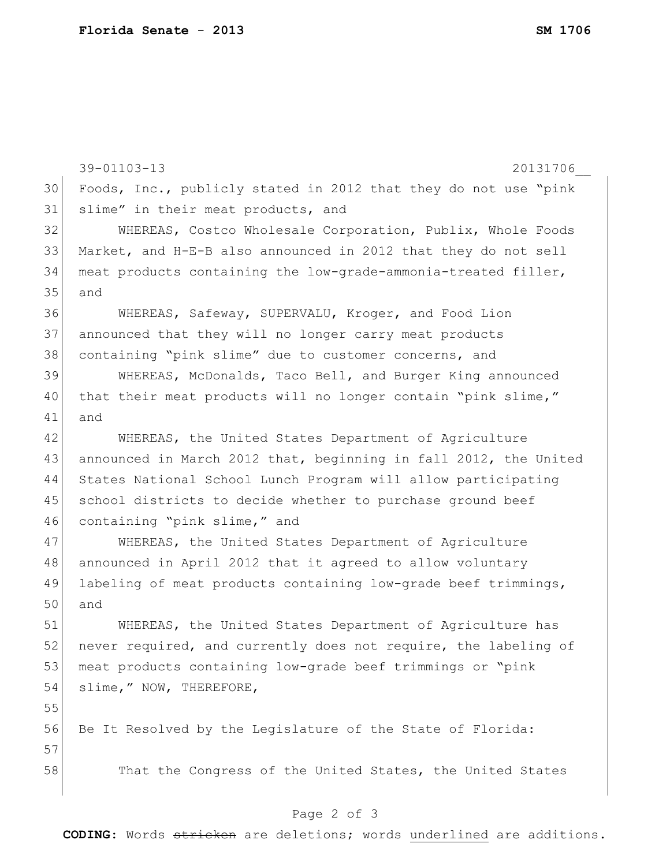39-01103-13 20131706\_\_ Foods, Inc., publicly stated in 2012 that they do not use "pink 31 slime" in their meat products, and WHEREAS, Costco Wholesale Corporation, Publix, Whole Foods Market, and H-E-B also announced in 2012 that they do not sell meat products containing the low-grade-ammonia-treated filler, and WHEREAS, Safeway, SUPERVALU, Kroger, and Food Lion announced that they will no longer carry meat products containing "pink slime" due to customer concerns, and 39 WHEREAS, McDonalds, Taco Bell, and Burger King announced 40 that their meat products will no longer contain "pink slime," and WHEREAS, the United States Department of Agriculture announced in March 2012 that, beginning in fall 2012, the United States National School Lunch Program will allow participating 45 school districts to decide whether to purchase ground beef 46 containing "pink slime," and WHEREAS, the United States Department of Agriculture announced in April 2012 that it agreed to allow voluntary labeling of meat products containing low-grade beef trimmings, and WHEREAS, the United States Department of Agriculture has 52 never required, and currently does not require, the labeling of meat products containing low-grade beef trimmings or "pink 54 slime," NOW, THEREFORE, 56 Be It Resolved by the Legislature of the State of Florida: 58 That the Congress of the United States, the United States

## Page 2 of 3

**CODING**: Words stricken are deletions; words underlined are additions.